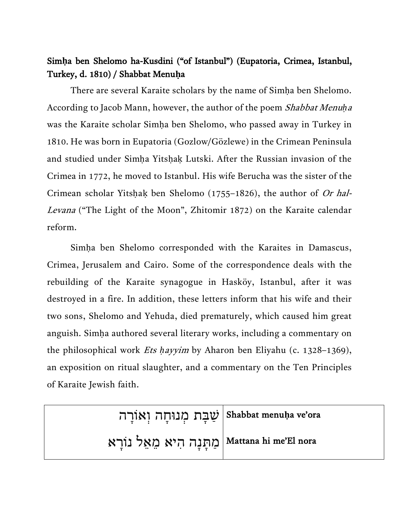## Sim**ḥ**a ben Shelomo ha-Kusdini ("of Istanbul") (Eupatoria, Crimea, Istanbul, Turkey, d. 1810) / Shabbat Menu**ḥ**a

There are several Karaite scholars by the name of Simha ben Shelomo. According to Jacob Mann, however, the author of the poem Shabbat Menu*ḥ*<sup>a</sup> was the Karaite scholar Simḥa ben Shelomo, who passed away in Turkey in 1810. He was born in Eupatoria (Gozlow/Gözlewe) in the Crimean Peninsula and studied under Simḥa Yitsḥaḳ Lutski. After the Russian invasion of the Crimea in 1772, he moved to Istanbul. His wife Berucha was the sister of the Crimean scholar Yitshak ben Shelomo (1755–1826), the author of Or hal-Levana ("The Light of the Moon", Zhitomir 1872) on the Karaite calendar reform.

Simḥa ben Shelomo corresponded with the Karaites in Damascus, Crimea, Jerusalem and Cairo. Some of the correspondence deals with the rebuilding of the Karaite synagogue in Hasköy, Istanbul, after it was destroyed in a fire. In addition, these letters inform that his wife and their two sons, Shelomo and Yehuda, died prematurely, which caused him great anguish. Simḥa authored several literary works, including a commentary on the philosophical work Ets *ḥ*ayyim by Aharon ben Eliyahu (c. 1328–1369), an exposition on ritual slaughter, and a commentary on the Ten Principles of Karaite Jewish faith.

> שַׁבָּת מְנוּחָה וְאוֹרָה  $\vert$ Shabbat menu**ḥ**a ve'ora

ַמְהָנָה הִיא מֵאֵל נוֹרָא Alattana hi me'El nora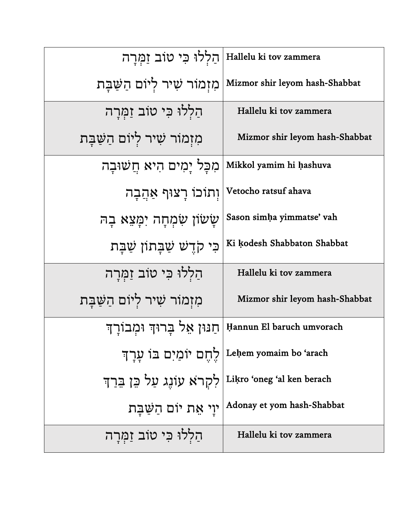| הַלְלוּ כִּי טוֹב זַמְרַה                                 | Hallelu ki tov zammera                              |
|-----------------------------------------------------------|-----------------------------------------------------|
| מִזְמוֹר שִׁיר לִיוֹם הַשַּׁבָּת                          | Mizmor shir leyom hash-Shabbat                      |
| הַלְלוּ כִּי טוֹב זַמְּרָה                                | Hallelu ki tov zammera                              |
| מִזְמוֹר שִׁיר לִיּוֹם הַשַּׁבָּת                         | Mizmor shir leyom hash-Shabbat                      |
| מִכָּל יַמִים הִיא חֲשׁוּבָה                              | Mikkol yamim hi hashuva                             |
| וְתוֹכוֹ רָצוּף אַהֲבָה                                   | Vetocho ratsuf ahava                                |
| שַׂשׂוֹן שִׂמְחָה יִמַּצֵא בָה                            | Sason simha yimmatse' vah                           |
| כִּי קֹדֵשׁ שַׁבָּתוֹן שַׁבָּת                            | Ki kodesh Shabbaton Shabbat                         |
| הַלְלוּ כִּי טוֹב זַמְרַה                                 | Hallelu ki tov zammera                              |
| מִזְמוֹר שִׁיר לִיוֹם הַשַּׁבָּת                          | Mizmor shir leyom hash-Shabbat                      |
| חַנּוּן אֵל בַרוּדְ וּמְבוֹרַדִּ                          | Hannun El baruch umvorach                           |
|                                                           | Leḥem yomaim bo 'arach   לֵחֶם יוֹמַיִם בּוֹ עֲרָךְ |
| Likro 'oneg 'al ken berach  לְקְרֹא עוֹנֶג עַל כֵן בֵרַךְ |                                                     |
| יוַי אֵת יוֹם הַשַּׁבָּת                                  | Adonay et yom hash-Shabbat                          |
| הַלְלוּ כִּי טוֹב זַמְרָה                                 | Hallelu ki tov zammera                              |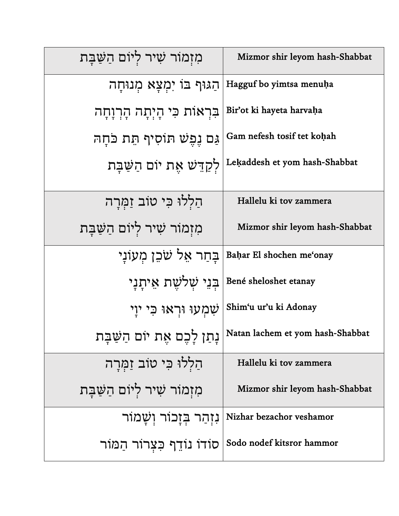| מִזְמוֹר שִׁיר לְיוֹם הַשַּׁבָּת | Mizmor shir leyom hash-Shabbat                               |
|----------------------------------|--------------------------------------------------------------|
| ּהַגּוּף בּוֹ יִמְצָא מְנוּחָה   | Hagguf bo yimtsa menuha                                      |
| בִּרְאוֹת כִּי הָיְתָה הָרְוָחָה | Bir'ot ki hayeta harvaha                                     |
| גַּם נֵפֵשׁ תּוֹסִיף תֵּת כֹּחָה | Gam nefesh tosif tet kohah                                   |
|                                  | לַקְדֵּשׁ אֶת יוֹם הַשַּׁבָּת [Lekaddesh et yom hash-Shabbat |
| הַלְלוּ כִּי טוֹב זַמְרַה        | Hallelu ki tov zammera                                       |
| מִזְמוֹר שִׁיר לְיוֹם הַשַּׁבָּת | Mizmor shir leyom hash-Shabbat                               |
| בַּחַר אֵל שֹׁכֵן מְעוֹנַי       | Bahar El shochen me'onay                                     |
| בִּנֵי שָׁלֹשֶׁת אֵיתַנַי        | Bené sheloshet etanay                                        |
| ּשְׁמְעוּ וּרְאוּ כִּי יוַי      | Shim'u ur'u ki Adonay                                        |
| נְתַן לְכֶם אֶת יוֹם הַשַּׁבְּת  | Natan lachem et yom hash-Shabbat                             |
| הַלְלוּ כִּי טוֹב זַמְרָה        | Hallelu ki tov zammera                                       |
| מִזְמוֹר שִׁיר לְיוֹם הַשַּׁבָּת | Mizmor shir leyom hash-Shabbat                               |
| נִזְהַר בְּזָבוֹר וְשָׁמוֹר      | Nizhar bezachor veshamor                                     |
| סוֹדוֹ נוֹדֵף כִּצְרוֹר הַמּוֹר  | Sodo nodef kitsror hammor                                    |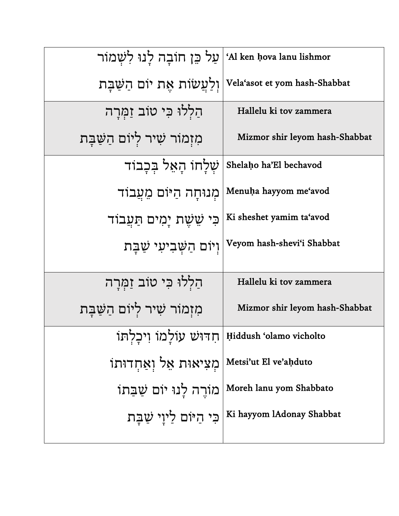| עַל כֵּן חוֹבַה לַנוּ לִשָּׁמוֹר                     | 'Al ken hova lanu lishmor                    |
|------------------------------------------------------|----------------------------------------------|
| וְלַעֲשׂוֹת אֵת יוֹם הַשַּׁבָּת                      | Vela'asot et yom hash-Shabbat                |
| הַלְלוּ כִּי טוֹב זַמְרַה                            | Hallelu ki tov zammera                       |
| מִזְמוֹר שִׁיר לִיּוֹם הַשַּׁבָּת                    | Mizmor shir leyom hash-Shabbat               |
| ֹשִׁלַּחוֹ הַאֱל בִּכְבוֹד                           | Shelaho ha'El bechavod                       |
| מִנוּחַה הַיּוֹם מֵעֲבוֹד                            | Menuha hayyom me'avod                        |
| כִּי שֵׁשֶׁת יָמִים תַּעֲבוֹד                        | Ki sheshet yamim ta'avod                     |
| וְיוֹם הַשָּׁבִיעִי שַׁבָּת                          | Veyom hash-shevi'i Shabbat                   |
| הַלְלוּ כִּי טוֹב זַמְרַה                            | Hallelu ki tov zammera                       |
| מִזְמוֹר שִׁיר לְיוֹם הַשַּׁבָּת                     | Mizmor shir leyom hash-Shabbat               |
| חְדוּשׁ עוֹלָמוֹ וְיכָלְתּוֹ Hiddush 'olamo vicholto |                                              |
| מִצִיאוּת אֵל וְאַחְדוּתוֹ Metsi'ut El ve'ahduto     |                                              |
| מוֹרֵה לָנוּ יוֹם שַׁבַּתוֹ                          | Moreh lanu yom Shabbato                      |
|                                                      | ה לִיוָי שַׁבָּת   Ki hayyom lAdonay Shabbat |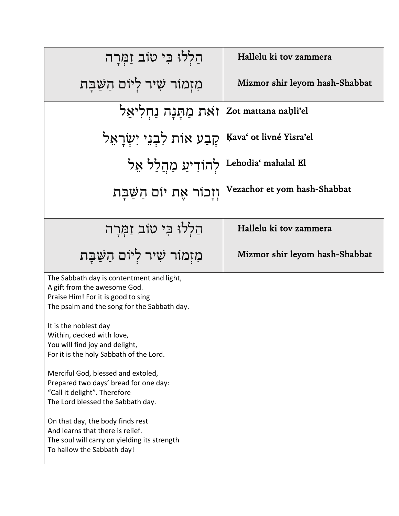| הַלְלוּ כִּי טוֹב זַמְרַה                                                                                                                                                                                                                                                                                                                                                                                                                                                                                                                                                                                   | Hallelu ki tov zammera         |
|-------------------------------------------------------------------------------------------------------------------------------------------------------------------------------------------------------------------------------------------------------------------------------------------------------------------------------------------------------------------------------------------------------------------------------------------------------------------------------------------------------------------------------------------------------------------------------------------------------------|--------------------------------|
| מִזְמוֹר שִׁיר לִיוֹם הַשֲׁבָּת                                                                                                                                                                                                                                                                                                                                                                                                                                                                                                                                                                             | Mizmor shir leyom hash-Shabbat |
| זאת מַתַּנַה נַחִלִיאֵל                                                                                                                                                                                                                                                                                                                                                                                                                                                                                                                                                                                     | Zot mattana nahli'el           |
| קַבַע אוֹת לִבְנֵי יְשָׂרָאֵל                                                                                                                                                                                                                                                                                                                                                                                                                                                                                                                                                                               | Kava' ot livné Yisra'el        |
| לְהוֹדִיעַ מַהֲלַל אֵל                                                                                                                                                                                                                                                                                                                                                                                                                                                                                                                                                                                      | Lehodia' mahalal El            |
| וִזָכוֹר אֵת יוֹם הַשַּׁבַּת                                                                                                                                                                                                                                                                                                                                                                                                                                                                                                                                                                                | Vezachor et yom hash-Shabbat   |
| הַלְלוּ כִּי טוֹב זַמְרַה                                                                                                                                                                                                                                                                                                                                                                                                                                                                                                                                                                                   | Hallelu ki tov zammera         |
| מִזְמוֹר שִׁיר לְיוֹם הַשַּׁבָּת                                                                                                                                                                                                                                                                                                                                                                                                                                                                                                                                                                            | Mizmor shir leyom hash-Shabbat |
| The Sabbath day is contentment and light,<br>A gift from the awesome God.<br>Praise Him! For it is good to sing<br>The psalm and the song for the Sabbath day.<br>It is the noblest day<br>Within, decked with love,<br>You will find joy and delight,<br>For it is the holy Sabbath of the Lord.<br>Merciful God, blessed and extoled,<br>Prepared two days' bread for one day:<br>"Call it delight". Therefore<br>The Lord blessed the Sabbath day.<br>On that day, the body finds rest<br>And learns that there is relief.<br>The soul will carry on yielding its strength<br>To hallow the Sabbath day! |                                |